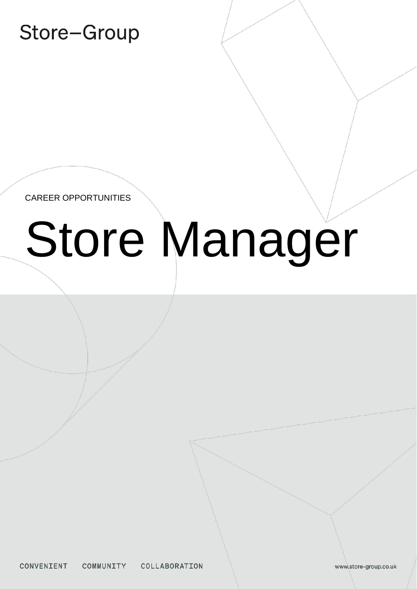# Store-Group

CAREER OPPORTUNITIES

# Store Manager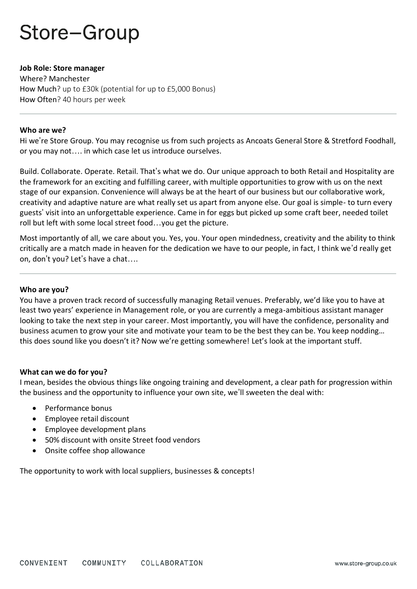# Store-Group

## **Job Role: Store manager**

Where? Manchester How Much? up to £30k (potential for up to £5,000 Bonus) How Often? 40 hours per week

## **Who are we?**

Hi we're Store Group. You may recognise us from such projects as Ancoats General Store & Stretford Foodhall, or you may not…. in which case let us introduce ourselves.

Build. Collaborate. Operate. Retail. That's what we do. Our unique approach to both Retail and Hospitality are the framework for an exciting and fulfilling career, with multiple opportunities to grow with us on the next stage of our expansion. Convenience will always be at the heart of our business but our collaborative work, creativity and adaptive nature are what really set us apart from anyone else. Our goal is simple- to turn every guests' visit into an unforgettable experience. Came in for eggs but picked up some craft beer, needed toilet roll but left with some local street food…you get the picture.

Most importantly of all, we care about you. Yes, you. Your open mindedness, creativity and the ability to think critically are a match made in heaven for the dedication we have to our people, in fact, I think we'd really get on, don't you? Let's have a chat….

## **Who are you?**

You have a proven track record of successfully managing Retail venues. Preferably, we'd like you to have at least two years' experience in Management role, or you are currently a mega-ambitious assistant manager looking to take the next step in your career. Most importantly, you will have the confidence, personality and business acumen to grow your site and motivate your team to be the best they can be. You keep nodding… this does sound like you doesn't it? Now we're getting somewhere! Let's look at the important stuff.

## **What can we do for you?**

I mean, besides the obvious things like ongoing training and development, a clear path for progression within the business and the opportunity to influence your own site, we'll sweeten the deal with:

- Performance bonus
- Employee retail discount
- Employee development plans
- 50% discount with onsite Street food vendors
- Onsite coffee shop allowance

The opportunity to work with local suppliers, businesses & concepts!